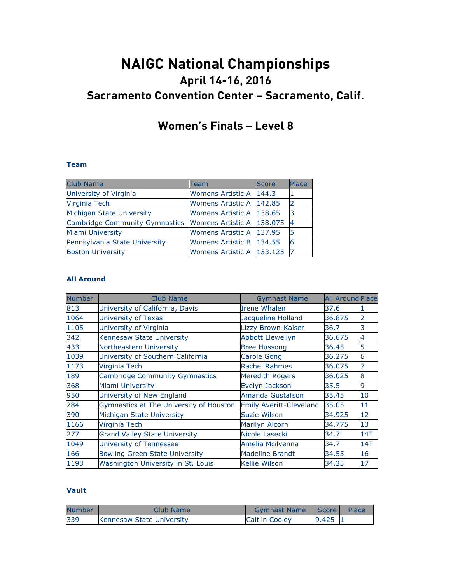# **NAIGC National Championships April 14-16, 2016 Sacramento Convention Center – Sacramento, Calif.**

## **Women's Finals – Level 8**

#### **Team**

| <b>Club Name</b>               | Team                        | <b>Score</b> | Place |
|--------------------------------|-----------------------------|--------------|-------|
| University of Virginia         | Womens Artistic A           | 144.3        |       |
| <b>Virginia Tech</b>           | Womens Artistic A   142.85  |              |       |
| Michigan State University      | Womens Artistic A 138.65    |              | 13    |
| Cambridge Community Gymnastics | Womens Artistic A 138.075   |              | -4    |
| <b>Miami University</b>        | Womens Artistic A   137.95  |              | 5     |
| Pennsylvania State University  | <b>Womens Artistic B</b>    | 134.55       | 16    |
| <b>Boston University</b>       | Womens Artistic A   133.125 |              |       |

#### **All Around**

| <b>Number</b> | <b>Club Name</b>                        | <b>Gymnast Name</b>            | <b>All Around Place</b> |     |
|---------------|-----------------------------------------|--------------------------------|-------------------------|-----|
| 813           | University of California, Davis         | Irene Whalen                   | 37.6                    |     |
| 1064          | University of Texas                     | Jacqueline Holland             | 36.875                  | 2   |
| 1105          | University of Virginia                  | Lizzy Brown-Kaiser             | 36.7                    | 3   |
| 342           | Kennesaw State University               | <b>Abbott Llewellyn</b>        | 36.675                  | 4   |
| 433           | Northeastern University                 | <b>Bree Hussong</b>            | 36.45                   | 5   |
| 1039          | University of Southern California       | Carole Gong                    | 36.275                  | 6   |
| 1173          | Virginia Tech                           | <b>Rachel Rahmes</b>           | 36.075                  |     |
| 189           | <b>Cambridge Community Gymnastics</b>   | <b>Meredith Rogers</b>         | 36.025                  | 8   |
| 368           | Miami University                        | Evelyn Jackson                 | 35.5                    | 9   |
| 950           | University of New England               | Amanda Gustafson               | 35.45                   | 10  |
| 284           | Gymnastics at The University of Houston | <b>Emily Averitt-Cleveland</b> | 35.05                   | 11  |
| 390           | Michigan State University               | Suzie Wilson                   | 34.925                  | 12  |
| 1166          | Virginia Tech                           | Marilyn Alcorn                 | 34.775                  | 13  |
| 277           | <b>Grand Valley State University</b>    | Nicole Lasecki                 | 34.7                    | 14T |
| 1049          | University of Tennessee                 | Amelia Mcilvenna               | 34.7                    | 14T |
| 166           | <b>Bowling Green State University</b>   | <b>Madeline Brandt</b>         | 34.55                   | 16  |
| 1193          | Washington University in St. Louis      | <b>Kellie Wilson</b>           | 34.35                   | 17  |

#### **Vault**

| <b>Number</b> | Club Name                 | <b>Gymnast Name</b>   | <b>Score</b> | Place |
|---------------|---------------------------|-----------------------|--------------|-------|
| 339           | Kennesaw State University | <b>Caitlin Cooley</b> | 9.425        |       |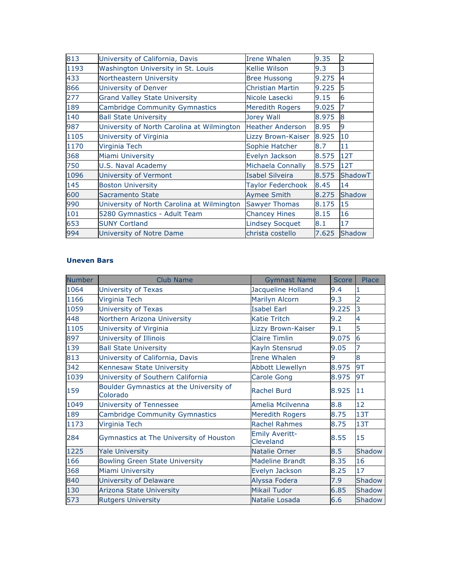| 813  | University of California, Davis            | Irene Whalen             | 9.35  | 2              |
|------|--------------------------------------------|--------------------------|-------|----------------|
| 1193 | Washington University in St. Louis         | Kellie Wilson            | 9.3   | 3              |
| 433  | Northeastern University                    | <b>Bree Hussong</b>      | 9.275 | $\overline{4}$ |
| 866  | University of Denver                       | <b>Christian Martin</b>  | 9.225 | 5              |
| 277  | <b>Grand Valley State University</b>       | Nicole Lasecki           | 9.15  | 6              |
| 189  | <b>Cambridge Community Gymnastics</b>      | <b>Meredith Rogers</b>   | 9.025 |                |
| 140  | <b>Ball State University</b>               | Jorey Wall               | 8.975 | 8              |
| 987  | University of North Carolina at Wilmington | <b>Heather Anderson</b>  | 8.95  | 9              |
| 1105 | University of Virginia                     | Lizzy Brown-Kaiser       | 8.925 | 10             |
| 1170 | Virginia Tech                              | Sophie Hatcher           | 8.7   | 11             |
| 368  | Miami University                           | Evelyn Jackson           | 8.575 | 12T            |
| 750  | U.S. Naval Academy                         | Michaela Connally        | 8.575 | 12T            |
| 1096 | University of Vermont                      | <b>Isabel Silveira</b>   | 8.575 | ShadowT        |
| 145  | <b>Boston University</b>                   | <b>Taylor Federchook</b> | 8.45  | 14             |
| 600  | Sacramento State                           | <b>Aymee Smith</b>       | 8.275 | <b>Shadow</b>  |
| 990  | University of North Carolina at Wilmington | <b>Sawyer Thomas</b>     | 8.175 | 15             |
| 101  | 5280 Gymnastics - Adult Team               | <b>Chancey Hines</b>     | 8.15  | 16             |
| 653  | <b>SUNY Cortland</b>                       | <b>Lindsey Socquet</b>   | 8.1   | 17             |
| 994  | University of Notre Dame                   | christa costello         | 7.625 | <b>Shadow</b>  |

#### **Uneven Bars**

| <b>Number</b> | <b>Club Name</b>                                    | <b>Gymnast Name</b>                | <b>Score</b> | Place          |
|---------------|-----------------------------------------------------|------------------------------------|--------------|----------------|
| 1064          | University of Texas                                 | Jacqueline Holland                 | 9.4          | 1              |
| 1166          | Virginia Tech                                       | Marilyn Alcorn                     | 9.3          | $\overline{2}$ |
| 1059          | University of Texas                                 | <b>Isabel Earl</b>                 | 9.225        | $\overline{3}$ |
| 448           | Northern Arizona University                         | <b>Katie Tritch</b>                | 9.2          | 4              |
| 1105          | University of Virginia                              | Lizzy Brown-Kaiser                 | 9.1          | 5              |
| 897           | University of Illinois                              | <b>Claire Timlin</b>               | 9.075        | 6              |
| 139           | <b>Ball State University</b>                        | Kayln Stensrud                     | 9.05         | 7              |
| 813           | University of California, Davis                     | <b>Irene Whalen</b>                | 9            | 8              |
| 342           | Kennesaw State University                           | <b>Abbott Llewellyn</b>            | 8.975        | 9T             |
| 1039          | University of Southern California                   | <b>Carole Gong</b>                 | 8.975        | 9T             |
| 159           | Boulder Gymnastics at the University of<br>Colorado | <b>Rachel Burd</b>                 | 8.925        | 11             |
| 1049          | University of Tennessee                             | Amelia Mcilvenna                   | 8.8          | 12             |
| 189           | <b>Cambridge Community Gymnastics</b>               | <b>Meredith Rogers</b>             | 8.75         | 13T            |
| 1173          | Virginia Tech                                       | <b>Rachel Rahmes</b>               | 8.75         | 13T            |
| 284           | Gymnastics at The University of Houston             | <b>Emily Averitt-</b><br>Cleveland | 8.55         | 15             |
| 1225          | <b>Yale University</b>                              | <b>Natalie Orner</b>               | 8.5          | Shadow         |
| 166           | <b>Bowling Green State University</b>               | <b>Madeline Brandt</b>             | 8.35         | 16             |
| 368           | Miami University                                    | Evelyn Jackson                     | 8.25         | 17             |
| 840           | University of Delaware                              | Alyssa Fodera                      | 7.9          | Shadow         |
| 130           | Arizona State University                            | <b>Mikail Tudor</b>                | 6.85         | Shadow         |
| 573           | <b>Rutgers University</b>                           | Natalie Losada                     | 6.6          | Shadow         |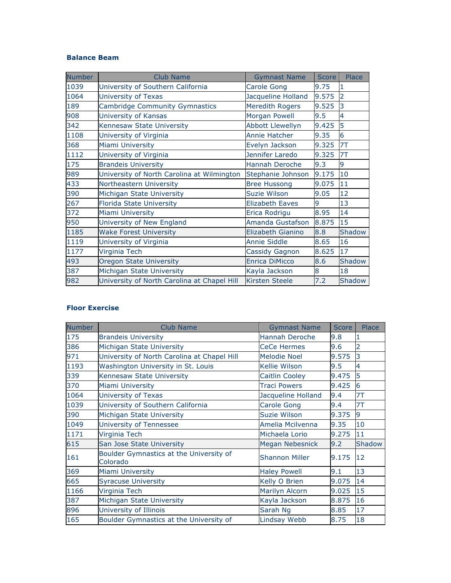#### **Balance Beam**

| <b>Number</b> | <b>Club Name</b>                            | <b>Gymnast Name</b>     | Score | Place          |
|---------------|---------------------------------------------|-------------------------|-------|----------------|
| 1039          | University of Southern California           | <b>Carole Gong</b>      | 9.75  |                |
| 1064          | University of Texas                         | Jacqueline Holland      | 9.575 | $\overline{2}$ |
| 189           | <b>Cambridge Community Gymnastics</b>       | <b>Meredith Rogers</b>  | 9.525 | 3              |
| 908           | University of Kansas                        | <b>Morgan Powell</b>    | 9.5   | 4              |
| 342           | Kennesaw State University                   | <b>Abbott Llewellyn</b> | 9.425 | 5              |
| 1108          | University of Virginia                      | Annie Hatcher           | 9.35  | 6              |
| 368           | Miami University                            | Evelyn Jackson          | 9.325 | 7T             |
| 1112          | University of Virginia                      | Jennifer Laredo         | 9.325 | 7T             |
| 175           | <b>Brandeis University</b>                  | Hannah Deroche          | 9.3   | 9              |
| 989           | University of North Carolina at Wilmington  | Stephanie Johnson       | 9.175 | 10             |
| 433           | Northeastern University                     | <b>Bree Hussong</b>     | 9.075 | 11             |
| 390           | Michigan State University                   | Suzie Wilson            | 9.05  | 12             |
| 267           | <b>Florida State University</b>             | <b>Elizabeth Eaves</b>  | 9     | 13             |
| 372           | <b>Miami University</b>                     | Erica Rodrigu           | 8.95  | 14             |
| 950           | University of New England                   | Amanda Gustafson        | 8.875 | 15             |
| 1185          | <b>Wake Forest University</b>               | Elizabeth Gianino       | 8.8   | <b>Shadow</b>  |
| 1119          | University of Virginia                      | <b>Annie Siddle</b>     | 8.65  | 16             |
| 1177          | Virginia Tech                               | Cassidy Gagnon          | 8.625 | 17             |
| 493           | <b>Oregon State University</b>              | <b>Enrica DiMicco</b>   | 8.6   | <b>Shadow</b>  |
| 387           | Michigan State University                   | Kayla Jackson           | 8     | 18             |
| 982           | University of North Carolina at Chapel Hill | <b>Kirsten Steele</b>   | 7.2   | <b>Shadow</b>  |

### **Floor Exercise**

| <b>Number</b> | <b>Club Name</b>                                    | <b>Gymnast Name</b>    | <b>Score</b> | Place  |
|---------------|-----------------------------------------------------|------------------------|--------------|--------|
| 175           | <b>Brandeis University</b>                          | Hannah Deroche         | 9.8          |        |
| 386           | Michigan State University                           | <b>CeCe Hermes</b>     | 9.6          | 2      |
| 971           | University of North Carolina at Chapel Hill         | <b>Melodie Noel</b>    | 9.575        | 3      |
| 1193          | Washington University in St. Louis                  | <b>Kellie Wilson</b>   | 9.5          | 4      |
| 339           | Kennesaw State University                           | <b>Caitlin Cooley</b>  | 9.475        | 5      |
| 370           | Miami University                                    | <b>Traci Powers</b>    | 9.425        | 6      |
| 1064          | University of Texas                                 | Jacqueline Holland     | 9.4          | 7T     |
| 1039          | University of Southern California                   | <b>Carole Gong</b>     | 9.4          | 7T     |
| 390           | Michigan State University                           | <b>Suzie Wilson</b>    | 9.375        | 9      |
| 1049          | University of Tennessee                             | Amelia Mcilvenna       | 9.35         | 10     |
| 1171          | Virginia Tech                                       | Michaela Lorio         | 9.275        | 11     |
| 615           | San Jose State University                           | <b>Megan Nebesnick</b> | 9.2          | Shadow |
| 161           | Boulder Gymnastics at the University of<br>Colorado | <b>Shannon Miller</b>  | 9.175        | 12     |
| 369           | <b>Miami University</b>                             | <b>Haley Powell</b>    | 9.1          | 13     |
| 665           | <b>Syracuse University</b>                          | Kelly O Brien          | 9.075        | 14     |
| 1166          | Virginia Tech                                       | Marilyn Alcorn         | 9.025        | 15     |
| 387           | Michigan State University                           | Kayla Jackson          | 8.875        | 16     |
| 896           | University of Illinois                              | Sarah Ng               | 8.85         | 17     |
| 165           | Boulder Gymnastics at the University of             | Lindsay Webb           | 8.75         | 18     |